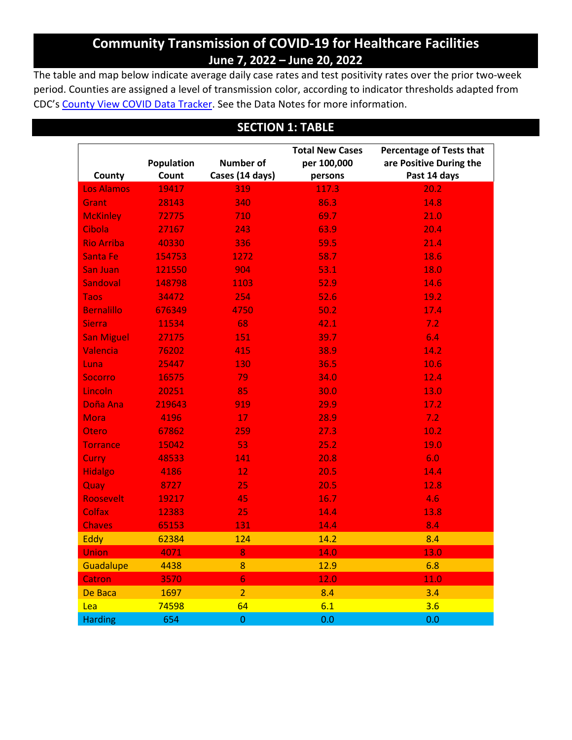# **Community Transmission of COVID-19 for Healthcare Facilities June 7, 2022 – June 20, 2022**

The table and map below indicate average daily case rates and test positivity rates over the prior two-week period. Counties are assigned a level of transmission color, according to indicator thresholds adapted from CDC's [County View COVID Data Tracker.](https://covid.cdc.gov/covid-data-tracker/#county-view) See the Data Notes for more information.

## **SECTION 1: TABLE**

|                   |            |                  | <b>Total New Cases</b><br><b>Percentage of Tests that</b> |              |
|-------------------|------------|------------------|-----------------------------------------------------------|--------------|
|                   | Population | <b>Number of</b> | are Positive During the<br>per 100,000                    |              |
| County            | Count      | Cases (14 days)  | persons                                                   | Past 14 days |
| <b>Los Alamos</b> | 19417      | 319              | 117.3                                                     | 20.2         |
| Grant             | 28143      | 340              | 86.3                                                      | 14.8         |
| <b>McKinley</b>   | 72775      | 710              | 69.7                                                      | 21.0         |
| Cibola            | 27167      | 243              | 63.9                                                      | 20.4         |
| <b>Rio Arriba</b> | 40330      | 336              | 59.5                                                      | 21.4         |
| <b>Santa Fe</b>   | 154753     | 1272             | 58.7                                                      | 18.6         |
| San Juan          | 121550     | 904              | 53.1                                                      | 18.0         |
| Sandoval          | 148798     | 1103             | 52.9                                                      | 14.6         |
| <b>Taos</b>       | 34472      | 254              | 52.6                                                      | 19.2         |
| <b>Bernalillo</b> | 676349     | 4750             | 50.2                                                      | 17.4         |
| <b>Sierra</b>     | 11534      | 68               | 42.1                                                      | 7.2          |
| <b>San Miguel</b> | 27175      | 151              | 39.7                                                      | 6.4          |
| Valencia          | 76202      | 415              | 38.9                                                      | 14.2         |
| Luna              | 25447      | 130              | 36.5                                                      | 10.6         |
| <b>Socorro</b>    | 16575      | 79               | 34.0                                                      | 12.4         |
| Lincoln           | 20251      | 85               | 30.0                                                      | 13.0         |
| Doña Ana          | 219643     | 919              | 29.9                                                      | 17.2         |
| Mora              | 4196       | 17               | 28.9                                                      | 7.2          |
| Otero             | 67862      | 259              | 27.3                                                      | 10.2         |
| <b>Torrance</b>   | 15042      | 53               | 25.2                                                      | 19.0         |
| Curry             | 48533      | 141              | 20.8                                                      | 6.0          |
| <b>Hidalgo</b>    | 4186       | 12               | 20.5                                                      | 14.4         |
| Quay              | 8727       | 25               | 20.5                                                      | 12.8         |
| Roosevelt         | 19217      | 45               | 16.7                                                      | 4.6          |
| <b>Colfax</b>     | 12383      | 25               | 14.4                                                      | 13.8         |
| <b>Chaves</b>     | 65153      | 131              | 14.4                                                      | 8.4          |
| Eddy              | 62384      | 124              | 14.2                                                      | 8.4          |
| <b>Union</b>      | 4071       | 8                | 14.0                                                      | 13.0         |
| Guadalupe         | 4438       | 8                | 12.9                                                      | 6.8          |
| <b>Catron</b>     | 3570       | $\overline{6}$   | 12.0                                                      | 11.0         |
| De Baca           | 1697       | $\overline{2}$   | 8.4                                                       | 3.4          |
| Lea               | 74598      | 64               | 6.1                                                       | 3.6          |
| <b>Harding</b>    | 654        | $\pmb{0}$        | 0.0                                                       | 0.0          |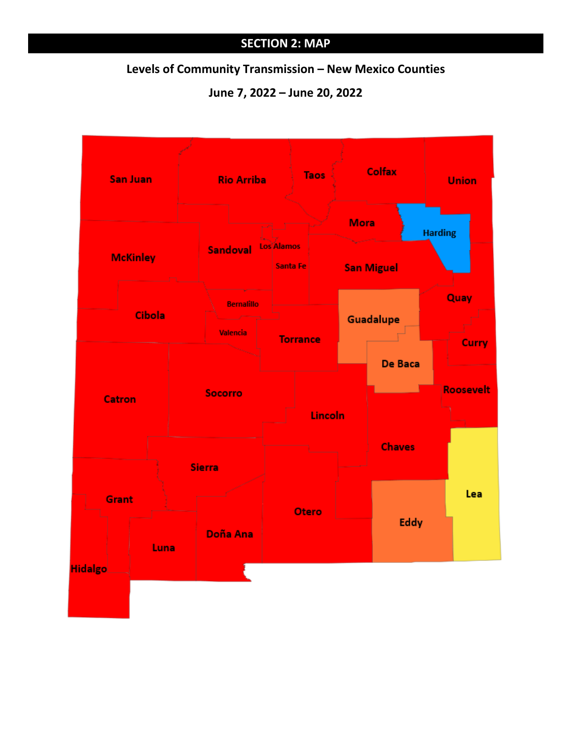## **SECTION 2: MAP**

### **Levels of Community Transmission – New Mexico Counties**

**June 7, 2022 – June 20, 2022**